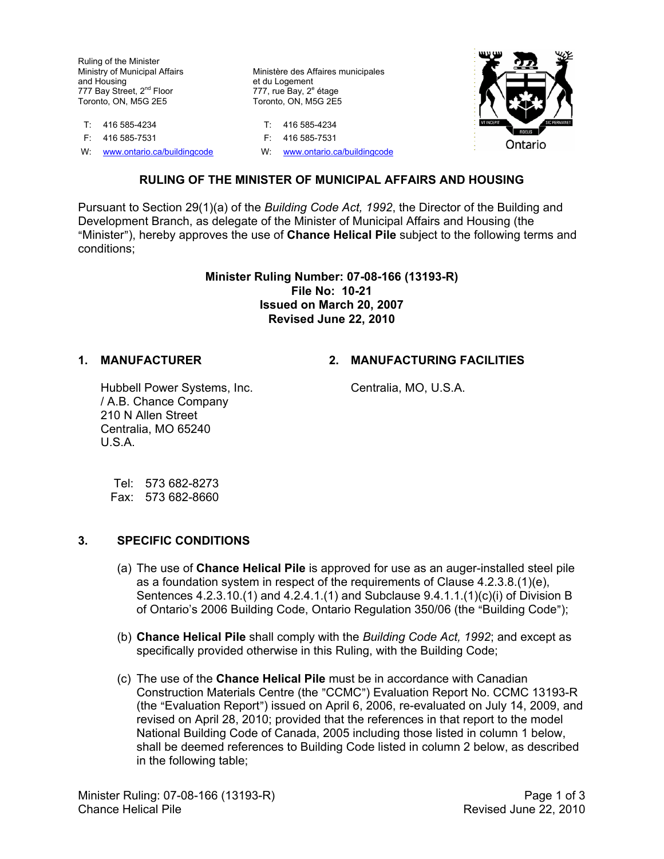Ruling of the Minister Ministry of Municipal Affairs and Housing 777 Bay Street, 2<sup>nd</sup> Floor Toronto, ON, M5G 2E5

T: 416 585-4234 T: 416 585-4234 F: 416 585-7531 F: 416 585-7531

W: [www.ontario.ca/buildingcode](http://www.ontario.ca/buildingcode) W: www.ontario.ca/buildingcode

Ministère des Affaires municipales et du Logement 777, rue Bay, 2<sup>e</sup> étage Toronto, ON, M5G 2E5



## **RULING OF THE MINISTER OF MUNICIPAL AFFAIRS AND HOUSING**

Pursuant to Section 29(1)(a) of the *Building Code Act, 1992*, the Director of the Building and Development Branch, as delegate of the Minister of Municipal Affairs and Housing (the "Minister"), hereby approves the use of **Chance Helical Pile** subject to the following terms and conditions;

#### **Minister Ruling Number: 07-08-166 (13193-R) File No: 10-21 Issued on March 20, 2007 Revised June 22, 2010**

## **1. MANUFACTURER 2. MANUFACTURING FACILITIES**

Hubbell Power Systems, Inc. / A.B. Chance Company 210 N Allen Street Centralia, MO 65240 U.S.A.

Centralia, MO, U.S.A.

Tel: 573 682-8273 Fax: 573 682-8660

#### **3. SPECIFIC CONDITIONS**

- (a) The use of **Chance Helical Pile** is approved for use as an auger-installed steel pile as a foundation system in respect of the requirements of Clause 4.2.3.8.(1)(e), Sentences 4.2.3.10.(1) and 4.2.4.1.(1) and Subclause 9.4.1.1.(1)(c)(i) of Division B of Ontario's 2006 Building Code, Ontario Regulation 350/06 (the "Building Code");
- (b) **Chance Helical Pile** shall comply with the *Building Code Act, 1992*; and except as specifically provided otherwise in this Ruling, with the Building Code;
- (c) The use of the **Chance Helical Pile** must be in accordance with Canadian Construction Materials Centre (the "CCMC") Evaluation Report No. CCMC 13193-R (the "Evaluation Report") issued on April 6, 2006, re-evaluated on July 14, 2009, and revised on April 28, 2010; provided that the references in that report to the model National Building Code of Canada, 2005 including those listed in column 1 below, shall be deemed references to Building Code listed in column 2 below, as described in the following table;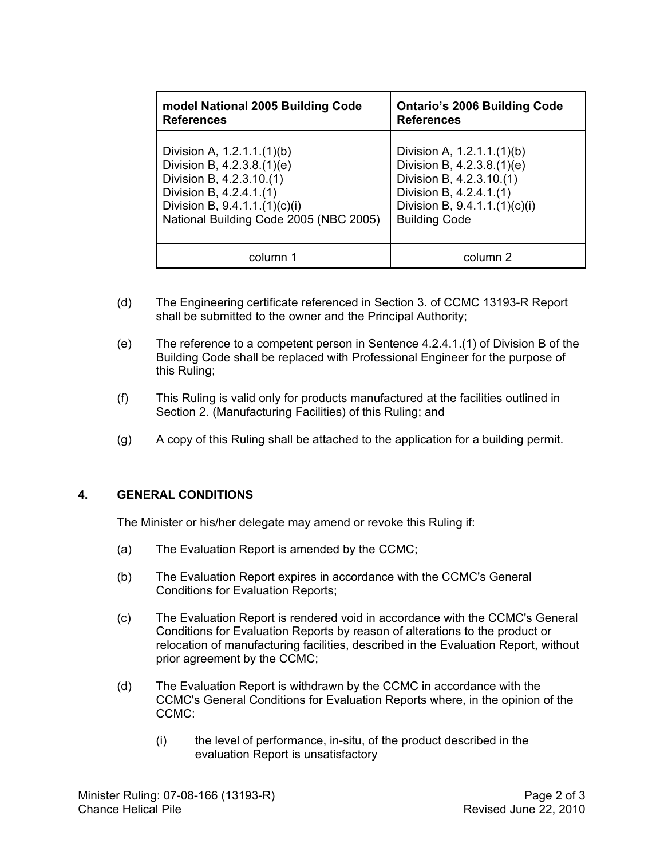| model National 2005 Building Code      | <b>Ontario's 2006 Building Code</b> |
|----------------------------------------|-------------------------------------|
| <b>References</b>                      | <b>References</b>                   |
| Division A, $1.2.1.1.(1)(b)$           | Division A, 1.2.1.1.(1)(b)          |
| Division B, 4.2.3.8.(1)(e)             | Division B, 4.2.3.8.(1)(e)          |
| Division B, 4.2.3.10.(1)               | Division B, 4.2.3.10.(1)            |
| Division B, 4.2.4.1.(1)                | Division B, 4.2.4.1.(1)             |
| Division B, $9.4.1.1(1)(c)(i)$         | Division B, $9.4.1.1.(1)(c)(i)$     |
| National Building Code 2005 (NBC 2005) | <b>Building Code</b>                |
| column 1                               | column 2                            |

- (d) The Engineering certificate referenced in Section 3. of CCMC 13193-R Report shall be submitted to the owner and the Principal Authority;
- (e) The reference to a competent person in Sentence 4.2.4.1.(1) of Division B of the Building Code shall be replaced with Professional Engineer for the purpose of this Ruling;
- (f) This Ruling is valid only for products manufactured at the facilities outlined in Section 2. (Manufacturing Facilities) of this Ruling; and
- (g) A copy of this Ruling shall be attached to the application for a building permit.

# **4. GENERAL CONDITIONS**

The Minister or his/her delegate may amend or revoke this Ruling if:

- (a) The Evaluation Report is amended by the CCMC;
- (b) The Evaluation Report expires in accordance with the CCMC's General Conditions for Evaluation Reports;
- (c) The Evaluation Report is rendered void in accordance with the CCMC's General Conditions for Evaluation Reports by reason of alterations to the product or relocation of manufacturing facilities, described in the Evaluation Report, without prior agreement by the CCMC;
- (d) The Evaluation Report is withdrawn by the CCMC in accordance with the CCMC's General Conditions for Evaluation Reports where, in the opinion of the CCMC:
	- (i) the level of performance, in-situ, of the product described in the evaluation Report is unsatisfactory